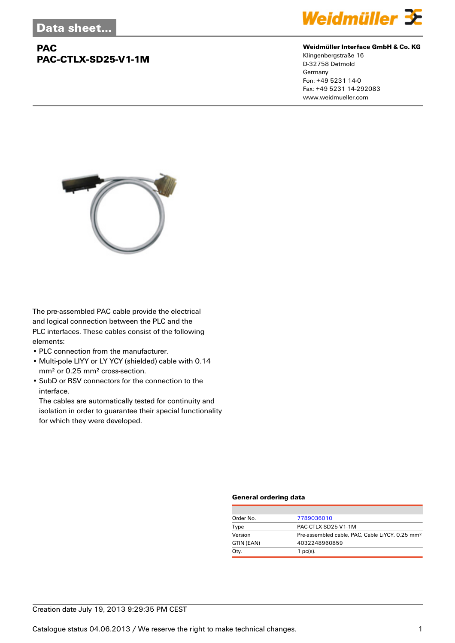## **PAC PAC-CTLX-SD25-V1-1M**



#### **Weidmüller Interface GmbH & Co. KG**

Klingenbergstraße 16 D-32758 Detmold Germany Fon: +49 5231 14-0 Fax: +49 5231 14-292083 www.weidmueller.com



The pre-assembled PAC cable provide the electrical and logical connection between the PLC and the PLC interfaces. These cables consist of the following elements:

- PLC connection from the manufacturer.
- Multi-pole LIYY or LY YCY (shielded) cable with 0.14 mm² or 0.25 mm² cross-section.
- SubD or RSV connectors for the connection to the interface.

The cables are automatically tested for continuity and isolation in order to guarantee their special functionality for which they were developed.

## **General ordering data**

| Order No.  | 7789036010                                                  |  |  |
|------------|-------------------------------------------------------------|--|--|
| Type       | PAC-CTLX-SD25-V1-1M                                         |  |  |
| Version    | Pre-assembled cable, PAC, Cable LiYCY, 0.25 mm <sup>2</sup> |  |  |
| GTIN (EAN) | 4032248960859                                               |  |  |
| Qty.       | $1$ pc(s).                                                  |  |  |